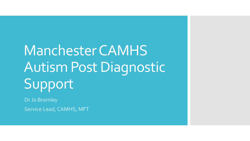# Manchester CAMHS Autism Post Diagnostic Support

Dr Jo Bromley

Service Lead, CAMHS, MFT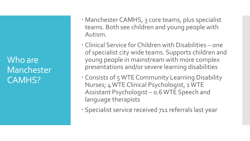Who are Manchester CAMHS?

- Manchester CAMHS, 3 core teams, plus specialist teams. Both see children and young people with Autism.
- Clinical Service for Children with Disabilities one of specialist city wide teams. Supports children and young people in mainstream with more complex presentations and/or severe learning disabilities
- Consists of 5 WTE Community Learning Disability Nurses; 4 WTE Clinical Psychologist, 1 WTE Assistant Psychologist – 0.6 WTE Speech and language therapists
- Specialist service received 711 referrals last year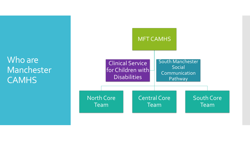Who are **Manchester CAMHS** 

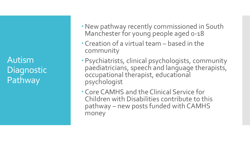Autism **Diagnostic** Pathway

- New pathway recently commissioned in South Manchester for young people aged o-18
- Creation of a virtual team based in the community
- Psychiatrists, clinical psychologists, community paediatricians, speech and language therapists, occupational therapist, educational psychologist
- Core CAMHS and the Clinical Service for Children with Disabilities contribute to this pathway – new posts funded with CAMHS money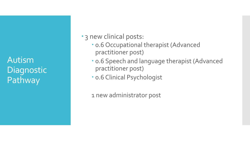Autism **Diagnostic** Pathway

### • 3 new clinical posts:

- 0.6 Occupational therapist (Advanced practitioner post)
- 0.6 Speech and language therapist (Advanced practitioner post)
- 0.6 Clinical Psychologist

1 new administrator post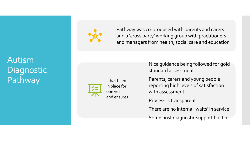# Autism **Diagnostic** Pathway



Pathway was co-produced with parents and carers and a 'cross party' working group with practitioners and managers from health, social care and education



It has been in place for one year and ensures

Nice guidance being followed for gold standard assessment

Parents, carers and young people reporting high levels of satisfaction with assessment

Process is transparent

There are no internal 'waits' in service

Some post diagnostic support built in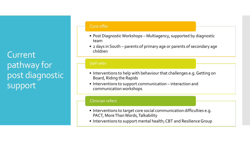Current pathway for post diagnostic support

#### Core offer

- Post Diagnostic Workshops Multiagency, supported by diagnostic team
- 2 days in South parents of primary age or parents of secondary age children

### Self refer

- Interventions to help with behaviour that challenges e.g. Getting on Board, Riding the Rapids
- Interventions to support communication interaction and communication workshops

### Clinician refers

- Interventions to target core social communication difficulties e.g. PACT, More Than Words, Talkability
- Interventions to support mental health; CBT and Resilience Group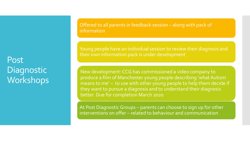Post **Diagnostic Workshops**  Offered to all parents in feedback session – along with pack of information

Young people have an individual session to review their diagnosis and their own information pack is under development

New development: CCG has commissioned a video company to produce a film of Manchester young people describing 'what Autism means to me' – to use with other young people to help them decide if they want to pursue a diagnosis and to understand their diagnosis better. Due for completion March 2020

At Post Diagnostic Groups – parents can choose to sign up for other interventions on offer – related to behaviour and communication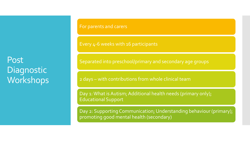Post **Diagnostic Workshops**  For parents and carers

Every 4-6 weeks with 16 participants

Separated into preschool/primary and secondary age groups

2 days – with contributions from whole clinical team

Day 1: What is Autism; Additional health needs (primary only); Educational Support

Day 2: Supporting Communication; Understanding behaviour (primary); promoting good mental health (secondary)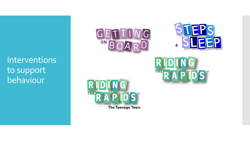Interventions to support behaviour









**The Teenage Years**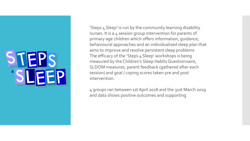

'Steps 4 Sleep' is run by the community learning disability nurses. It is a 4 session group intervention for parents of primary age children which offers information, guidance, behavioural approaches and an individualised sleep plan that aims to improve and resolve persistent sleep problems The efficacy of the 'Steps 4 Sleep' workshops is being measured by the Children's Sleep Habits Questionnaire, SLDOM measures, parent feedback (gathered after each session) and goal / coping scores taken pre and post intervention.

4 groups ran between 1st April 2018 and the 31st March 2019 and data shows positive outcomes and supporting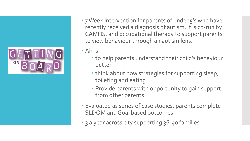

- 7 Week Intervention for parents of under 5's who have recently received a diagnosis of autism. It is co-run by CAMHS, and occupational therapy to support parents to view behaviour through an autism lens.
- Aims
	- to help parents understand their child's behaviour better
	- think about how strategies for supporting sleep, toileting and eating
	- Provide parents with opportunity to gain support from other parents
- Evaluated as series of case studies, parents complete SLDOM and Goal based outcomes
- 3 a year across city supporting 36-40 families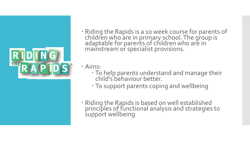

- Riding the Rapids is a 10 week course for parents of children who are in primary school. The group is adaptable for parents of children who are in mainstream or specialist provisions.
- Aims:
	- To help parents understand and manage their child's behaviour better.
	- To support parents coping and wellbeing
- Riding the Rapids is based on well established principles of functional analysis and strategies to support wellbeing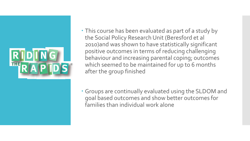

- This course has been evaluated as part of a study by the Social Policy Research Unit (Beresford et al 2010)and was shown to have statistically significant positive outcomes in terms of reducing challenging behaviour and increasing parental coping; outcomes which seemed to be maintained for up to 6 months after the group finished
- Groups are continually evaluated using the SLDOM and goal based outcomes and show better outcomes for families than individual work alone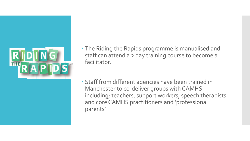

- The Riding the Rapids programme is manualised and staff can attend a 2 day training course to become a facilitator.
- Staff from different agencies have been trained in Manchester to co-deliver groups with CAMHS including; teachers, support workers, speech therapists and core CAMHS practitioners and 'professional parents'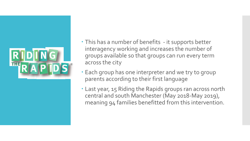

- This has a number of benefits it supports better interagency working and increases the number of groups available so that groups can run every term across the city
- Each group has one interpreter and we try to group parents according to their first language
- Last year, 15 Riding the Rapids groups ran across north central and south Manchester (May 2018-May 2019), meaning 94 families benefitted from this intervention.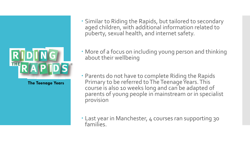

**The Teenage Years**

- Similar to Riding the Rapids, but tailored to secondary aged children, with additional information related to puberty, sexual health, and internet safety.
- More of a focus on including young person and thinking about their wellbeing
- Parents do not have to complete Riding the Rapids Primary to be referred to The Teenage Years. This course is also 10 weeks long and can be adapted of parents of young people in mainstream or in specialist provision
- Last year in Manchester, 4 courses ran supporting 30 families.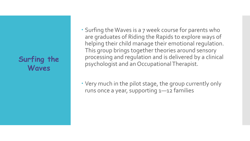### **Surfing the Waves**

- Surfing the Waves is a 7 week course for parents who are graduates of Riding the Rapids to explore ways of helping their child manage their emotional regulation. This group brings together theories around sensory processing and regulation and is delivered by a clinical psychologist and an Occupational Therapist.
- Very much in the pilot stage, the group currently only runs once a year, supporting 1—12 families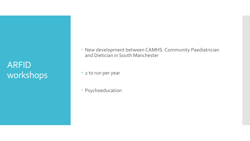# ARFID workshops

 New development between CAMHS. Community Paediatrician and Dietician in South Manchester

• 2 to run per year

Psychoeducation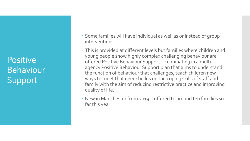**Positive** Behaviour **Support** 

- Some families will have individual as well as or instead of group interventions
- This is provided at different levels but families where children and young people show highly complex challenging behaviour are offered Positive Behaviour Support – culminating in a multi agency Positive Behaviour Support plan that aims to understand the function of behaviour that challenges, teach children new ways to meet that need; builds on the coping skills of staff and family with the aim of reducing restrictive practice and improving quality of life.
- New in Manchester from 2019 offered to around ten families so far this year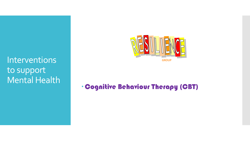Interventions to support Mental Health



### Cognitive Behaviour Therapy (CBT)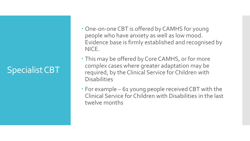# Specialist CBT

- One-on-one CBT is offered by CAMHS for young people who have anxiety as well as low mood. Evidence base is firmly established and recognised by NICE.
- This may be offered by Core CAMHS, or for more complex cases where greater adaptation may be required, by the Clinical Service for Children with **Disabilities**
- For example 61 young people received CBT with the Clinical Service for Children with Disabilities in the last twelve months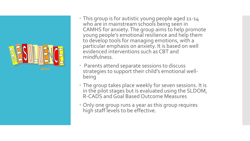

- This group is for autistic young people aged 11-14 who are in mainstream schools being seen in CAMHS for anxiety. The group aims to help promote young people's emotional resilience and help them to develop tools for managing emotions, with a particular emphasis on anxiety. It is based on well evidenced interventions such as CBT and mindfulness.
- Parents attend separate sessions to discuss strategies to support their child's emotional wellbeing
- The group takes place weekly for seven sessions. It is in the pilot stages but is evaluated using the SLDOM, R-CADS and Goal Based Outcome Measures
- Only one group runs a year as this group requires high staff levels to be effective.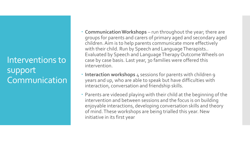Interventions to support Communication

- **Communication Workshops**  run throughout the year; there are groups for parents and carers of primary aged and secondary aged children. Aim is to help parents communicate more effectively with their child. Run by Speech and Language Therapists.. Evaluated by Speech and Language Therapy Outcome Wheels on case by case basis. Last year, 30 families were offered this intervention.
- **Interaction workshops** 4 sessions for parents with children 9 years and up, who are able to speak but have difficulties with interaction, conversation and friendship skills.
- Parents are videoed playing with their child at the beginning of the intervention and between sessions and the focus is on building enjoyable interactions, developing conversation skills and theory of mind. These workshops are being trialled this year. New initiative in its first year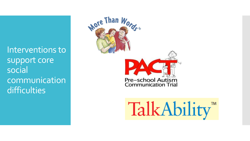Interventions to support core social communication difficulties



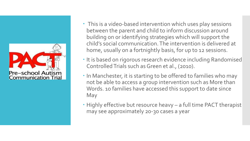

- This is a video-based intervention which uses play sessions between the parent and child to inform discussion around building on or identifying strategies which will support the child's social communication. The intervention is delivered at home, usually on a fortnightly basis, for up to 12 sessions.
- It is based on rigorous research evidence including Randomised Controlled Trials such as Green et al., (2010).
- In Manchester, it is starting to be offered to families who may not be able to access a group intervention such as More than Words. 10 families have accessed this support to date since May
- Highly effective but resource heavy a full time PACT therapist may see approximately 20-30 cases a year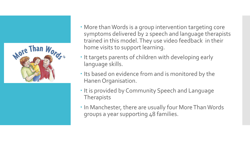

- More than Words is a group intervention targeting core symptoms delivered by 2 speech and language therapists trained in this model. They use video feedback in their home visits to support learning.
- It targets parents of children with developing early language skills.
- . Its based on evidence from and is monitored by the Hanen Organisation.
- It is provided by Community Speech and Language **Therapists**
- In Manchester, there are usually four More Than Words groups a year supporting 48 families.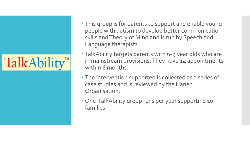# TalkAbility<sup>™</sup>

- This group is for parents to support and enable young people with autism to develop better communication skills and Theory of Mind and is run by Speech and Language therapists
- TalkAbility targets parents with 6-9 year olds who are in mainstream provisions. They have 14 appointments within 6 months.
- The intervention supported is collected as a series of case studies and is reviewed by the Hanen Organisation.
- One TalkAbility group runs per year supporting 10 families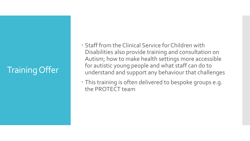# Training Offer

- Staff from the Clinical Service for Children with Disabilities also provide training and consultation on Autism; how to make health settings more accessible for autistic young people and what staff can do to understand and support any behaviour that challenges
- This training is often delivered to bespoke groups e.g. the PROTECT team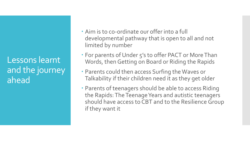Lessons learnt and the journey ahead

- Aim is to co-ordinate our offer into a full developmental pathway that is open to all and not limited by number
- For parents of Under 5's to offer PACT or More Than Words, then Getting on Board or Riding the Rapids
- Parents could then access Surfing the Waves or Talkability if their children need it as they get older
- Parents of teenagers should be able to access Riding the Rapids: The Teenage Years and autistic teenagers should have access to CBT and to the Resilience Group if they want it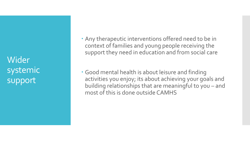Wider systemic support

 Any therapeutic interventions offered need to be in context of families and young people receiving the support they need in education and from social care

 Good mental health is about leisure and finding activities you enjoy; its about achieving your goals and building relationships that are meaningful to you – and most of this is done outside CAMHS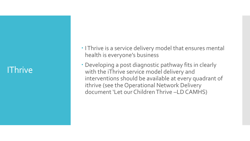## **IThrive**

- I Thrive is a service delivery model that ensures mental health is everyone's business
- Developing a post diagnostic pathway fits in clearly with the iThrive service model delivery and interventions should be available at every quadrant of ithrive (see the Operational Network Delivery document 'Let our Children Thrive –LD CAMHS)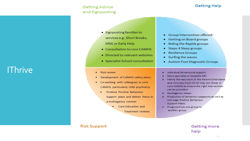## **IThrive**

### **Getting Advice** and Signposting

#### **Getting Help**

- Signposting families to services e.g. Short Breaks, **MSIL or Early Help**
- Consultation to core CAMHS
- Directed to relevant websites
- Specialist School consultation
- **Risk review**
- Development of CAMHS safety plans.
- Co-working with colleagues in core ٠ CAMHS, particularly child psychiatry.
	- Produce Positive Behaviour Support plans and deliver these in a multiagency context
		- Care Education and **Treatment reviews**

#### • Group intervention offered:

- **Getting on Board groups**
- **Riding the Rapids groups**
- Steps 4 Sleep groups ٠
- **Resilience Groups** ٠
- Surfing the waves ٠
- Autism Post Diagnostic Groups
- Individual behavioural support ۰
- More specialist or bespoke CBT.
- Family therapy work or the Parent Child Game o and clinicians from CS-CD may join those in core CAMHS to ensure the right intervention can be provided.
- Multiagency liaison ×
- Production of behaviour passports as well as one page Positive Behaviour Support Plans.
- Progress from one group to . another group

### Getting more help

### **Risk Support**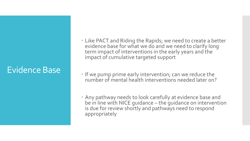## Evidence Base

 Like PACT and Riding the Rapids; we need to create a better evidence base for what we do and we need to clarify long term impact of interventions in the early years and the impact of cumulative targeted support

- If we pump prime early intervention; can we reduce the number of mental health interventions needed later on?
- Any pathway needs to look carefully at evidence base and be in line with NICE guidance – the guidance on intervention is due for review shortly and pathways need to respond appropriately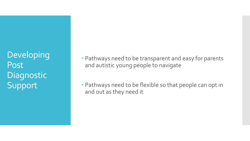Developing Post **Diagnostic** Support

 Pathways need to be transparent and easy for parents and autistic young people to navigate

 Pathways need to be flexible so that people can opt in and out as they need it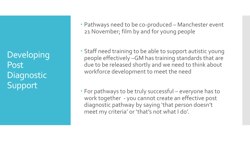**Developing** Post **Diagnostic Support** 

- Pathways need to be co-produced Manchester event 21 November; film by and for young people
- Staff need training to be able to support autistic young people effectively –GM has training standards that are due to be released shortly and we need to think about workforce development to meet the need
- For pathways to be truly successful everyone has to work together - you cannot create an effective post diagnostic pathway by saying 'that person doesn't meet my criteria' or 'that's not what I do'.